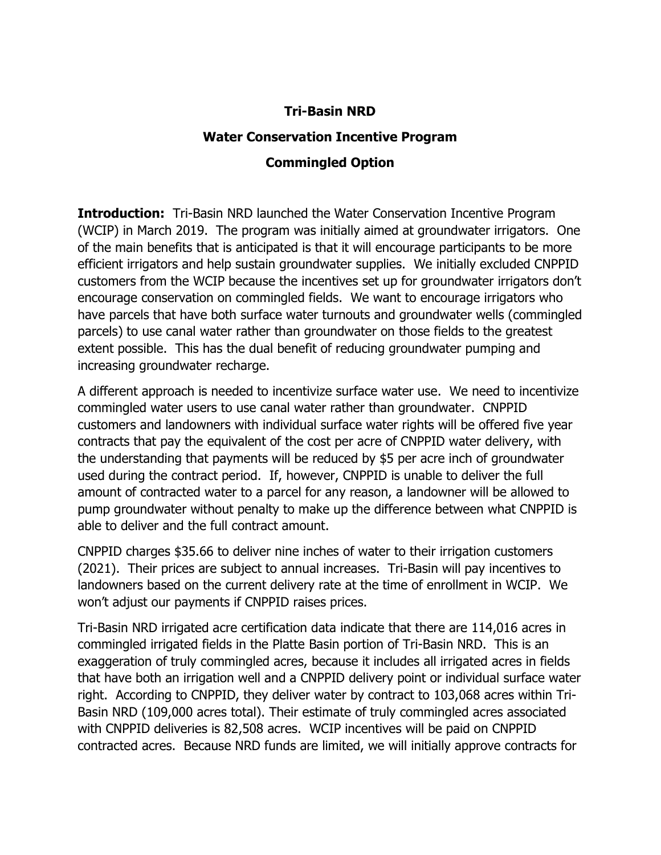## Tri-Basin NRD

## Water Conservation Incentive Program

## Commingled Option

**Introduction:** Tri-Basin NRD launched the Water Conservation Incentive Program (WCIP) in March 2019. The program was initially aimed at groundwater irrigators. One of the main benefits that is anticipated is that it will encourage participants to be more efficient irrigators and help sustain groundwater supplies. We initially excluded CNPPID customers from the WCIP because the incentives set up for groundwater irrigators don't encourage conservation on commingled fields. We want to encourage irrigators who have parcels that have both surface water turnouts and groundwater wells (commingled parcels) to use canal water rather than groundwater on those fields to the greatest extent possible. This has the dual benefit of reducing groundwater pumping and increasing groundwater recharge.

A different approach is needed to incentivize surface water use. We need to incentivize commingled water users to use canal water rather than groundwater. CNPPID customers and landowners with individual surface water rights will be offered five year contracts that pay the equivalent of the cost per acre of CNPPID water delivery, with the understanding that payments will be reduced by \$5 per acre inch of groundwater used during the contract period. If, however, CNPPID is unable to deliver the full amount of contracted water to a parcel for any reason, a landowner will be allowed to pump groundwater without penalty to make up the difference between what CNPPID is able to deliver and the full contract amount.

CNPPID charges \$35.66 to deliver nine inches of water to their irrigation customers (2021). Their prices are subject to annual increases. Tri-Basin will pay incentives to landowners based on the current delivery rate at the time of enrollment in WCIP. We won't adjust our payments if CNPPID raises prices.

Tri-Basin NRD irrigated acre certification data indicate that there are 114,016 acres in commingled irrigated fields in the Platte Basin portion of Tri-Basin NRD. This is an exaggeration of truly commingled acres, because it includes all irrigated acres in fields that have both an irrigation well and a CNPPID delivery point or individual surface water right. According to CNPPID, they deliver water by contract to 103,068 acres within Tri-Basin NRD (109,000 acres total). Their estimate of truly commingled acres associated with CNPPID deliveries is 82,508 acres. WCIP incentives will be paid on CNPPID contracted acres. Because NRD funds are limited, we will initially approve contracts for